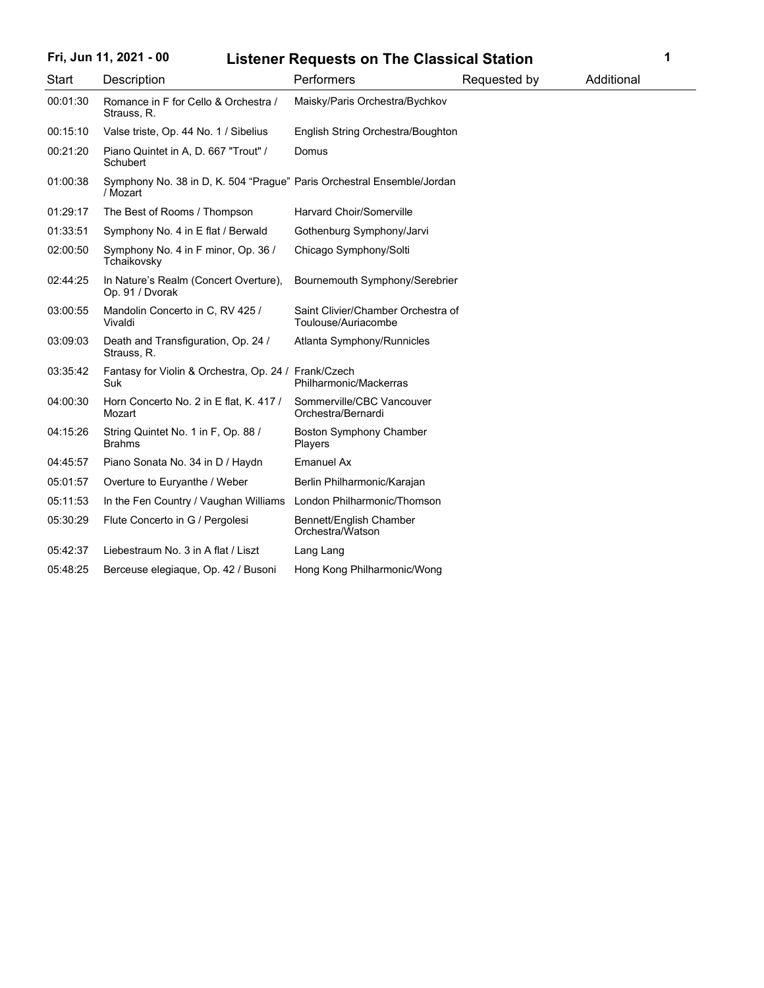# **Fri, Jun 11, 2021 - 00 1 Listener Requests on The Classical Station**

| Start    | Description                                                                        | Performers                                                | Requested by | Additional |
|----------|------------------------------------------------------------------------------------|-----------------------------------------------------------|--------------|------------|
| 00:01:30 | Romance in F for Cello & Orchestra /<br>Strauss, R.                                | Maisky/Paris Orchestra/Bychkov                            |              |            |
| 00:15:10 | Valse triste, Op. 44 No. 1 / Sibelius                                              | English String Orchestra/Boughton                         |              |            |
| 00:21:20 | Piano Quintet in A, D. 667 "Trout" /<br>Schubert                                   | Domus                                                     |              |            |
| 01:00:38 | Symphony No. 38 in D, K. 504 "Prague" Paris Orchestral Ensemble/Jordan<br>/ Mozart |                                                           |              |            |
| 01:29:17 | The Best of Rooms / Thompson                                                       | <b>Harvard Choir/Somerville</b>                           |              |            |
| 01:33:51 | Symphony No. 4 in E flat / Berwald                                                 | Gothenburg Symphony/Jarvi                                 |              |            |
| 02:00:50 | Symphony No. 4 in F minor, Op. 36 /<br>Tchaikovsky                                 | Chicago Symphony/Solti                                    |              |            |
| 02:44:25 | In Nature's Realm (Concert Overture),<br>Op. 91 / Dvorak                           | Bournemouth Symphony/Serebrier                            |              |            |
| 03:00:55 | Mandolin Concerto in C, RV 425 /<br>Vivaldi                                        | Saint Clivier/Chamber Orchestra of<br>Toulouse/Auriacombe |              |            |
| 03:09:03 | Death and Transfiguration, Op. 24 /<br>Strauss, R.                                 | Atlanta Symphony/Runnicles                                |              |            |
| 03:35:42 | Fantasy for Violin & Orchestra, Op. 24 / Frank/Czech<br>Suk                        | Philharmonic/Mackerras                                    |              |            |
| 04:00:30 | Horn Concerto No. 2 in E flat, K. 417 /<br>Mozart                                  | Sommerville/CBC Vancouver<br>Orchestra/Bernardi           |              |            |
| 04:15:26 | String Quintet No. 1 in F, Op. 88 /<br><b>Brahms</b>                               | <b>Boston Symphony Chamber</b><br>Players                 |              |            |
| 04:45:57 | Piano Sonata No. 34 in D / Haydn                                                   | <b>Emanuel Ax</b>                                         |              |            |
| 05:01:57 | Overture to Euryanthe / Weber                                                      | Berlin Philharmonic/Karajan                               |              |            |
| 05:11:53 | In the Fen Country / Vaughan Williams                                              | London Philharmonic/Thomson                               |              |            |
| 05:30:29 | Flute Concerto in G / Pergolesi                                                    | Bennett/English Chamber<br>Orchestra/Watson               |              |            |
| 05:42:37 | Liebestraum No. 3 in A flat / Liszt                                                | Lang Lang                                                 |              |            |
| 05:48:25 | Berceuse elegiaque, Op. 42 / Busoni                                                | Hong Kong Philharmonic/Wong                               |              |            |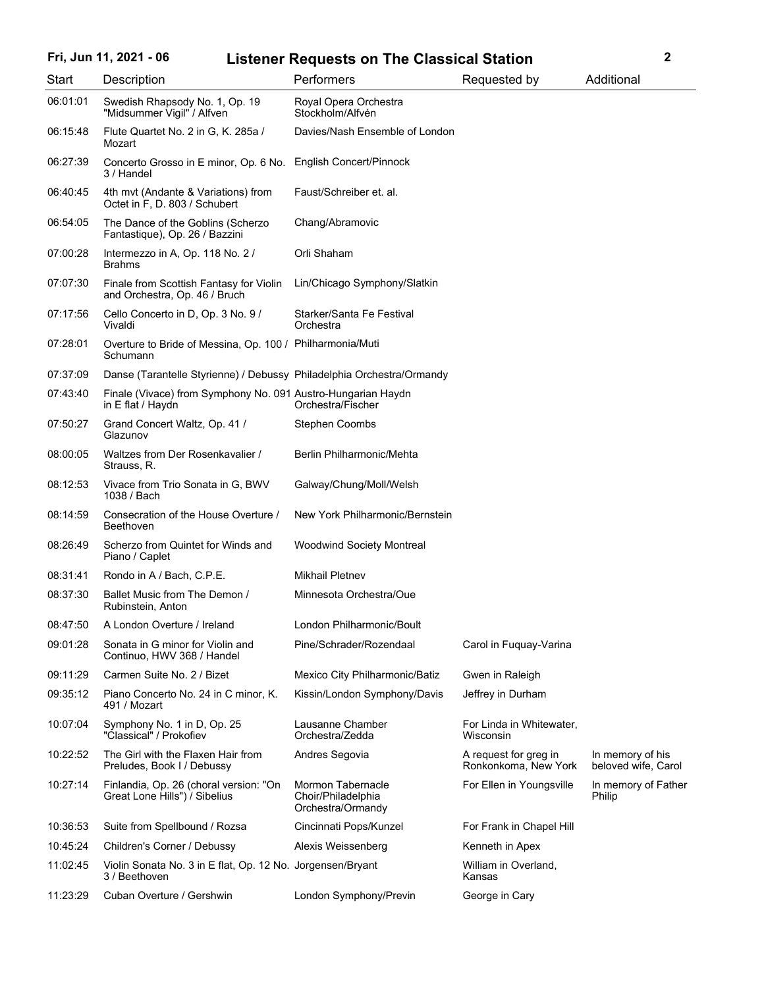### **Fri, Jun 11, 2021 - 06 2 Listener Requests on The Classical Station**

| Start    | Description                                                                       | Performers                                                          | Requested by                                  | Additional                              |
|----------|-----------------------------------------------------------------------------------|---------------------------------------------------------------------|-----------------------------------------------|-----------------------------------------|
| 06:01:01 | Swedish Rhapsody No. 1, Op. 19<br>"Midsummer Vigil" / Alfven                      | Royal Opera Orchestra<br>Stockholm/Alfvén                           |                                               |                                         |
| 06:15:48 | Flute Quartet No. 2 in G, K. 285a /<br>Mozart                                     | Davies/Nash Ensemble of London                                      |                                               |                                         |
| 06:27:39 | Concerto Grosso in E minor, Op. 6 No.<br>3 / Handel                               | <b>English Concert/Pinnock</b>                                      |                                               |                                         |
| 06:40:45 | 4th mvt (Andante & Variations) from<br>Octet in F, D. 803 / Schubert              | Faust/Schreiber et. al.                                             |                                               |                                         |
| 06:54:05 | The Dance of the Goblins (Scherzo<br>Fantastique), Op. 26 / Bazzini               | Chang/Abramovic                                                     |                                               |                                         |
| 07:00:28 | Intermezzo in A, Op. 118 No. 2 /<br><b>Brahms</b>                                 | Orli Shaham                                                         |                                               |                                         |
| 07:07:30 | Finale from Scottish Fantasy for Violin<br>and Orchestra, Op. 46 / Bruch          | Lin/Chicago Symphony/Slatkin                                        |                                               |                                         |
| 07:17:56 | Cello Concerto in D, Op. 3 No. 9 /<br>Vivaldi                                     | Starker/Santa Fe Festival<br>Orchestra                              |                                               |                                         |
| 07:28:01 | Overture to Bride of Messina, Op. 100 / Philharmonia/Muti<br>Schumann             |                                                                     |                                               |                                         |
| 07:37:09 | Danse (Tarantelle Styrienne) / Debussy Philadelphia Orchestra/Ormandy             |                                                                     |                                               |                                         |
| 07:43:40 | Finale (Vivace) from Symphony No. 091 Austro-Hungarian Haydn<br>in E flat / Haydn | Orchestra/Fischer                                                   |                                               |                                         |
| 07:50:27 | Grand Concert Waltz, Op. 41 /<br>Glazunov                                         | <b>Stephen Coombs</b>                                               |                                               |                                         |
| 08:00:05 | Waltzes from Der Rosenkavalier /<br>Strauss, R.                                   | Berlin Philharmonic/Mehta                                           |                                               |                                         |
| 08:12:53 | Vivace from Trio Sonata in G, BWV<br>1038 / Bach                                  | Galway/Chung/Moll/Welsh                                             |                                               |                                         |
| 08:14:59 | Consecration of the House Overture /<br>Beethoven                                 | New York Philharmonic/Bernstein                                     |                                               |                                         |
| 08:26:49 | Scherzo from Quintet for Winds and<br>Piano / Caplet                              | <b>Woodwind Society Montreal</b>                                    |                                               |                                         |
| 08:31:41 | Rondo in A / Bach, C.P.E.                                                         | <b>Mikhail Pletnev</b>                                              |                                               |                                         |
| 08:37:30 | Ballet Music from The Demon /<br>Rubinstein, Anton                                | Minnesota Orchestra/Oue                                             |                                               |                                         |
| 08:47:50 | A London Overture / Ireland                                                       | London Philharmonic/Boult                                           |                                               |                                         |
| 09:01:28 | Sonata in G minor for Violin and<br>Continuo, HWV 368 / Handel                    | Pine/Schrader/Rozendaal                                             | Carol in Fuquay-Varina                        |                                         |
| 09:11:29 | Carmen Suite No. 2 / Bizet                                                        | Mexico City Philharmonic/Batiz                                      | Gwen in Raleigh                               |                                         |
| 09:35:12 | Piano Concerto No. 24 in C minor, K.<br>491 / Mozart                              | Kissin/London Symphony/Davis                                        | Jeffrey in Durham                             |                                         |
| 10:07:04 | Symphony No. 1 in D, Op. 25<br>"Classical" / Prokofiev                            | Lausanne Chamber<br>Orchestra/Zedda                                 | For Linda in Whitewater,<br>Wisconsin         |                                         |
| 10:22:52 | The Girl with the Flaxen Hair from<br>Preludes, Book I / Debussy                  | Andres Segovia                                                      | A request for greg in<br>Ronkonkoma, New York | In memory of his<br>beloved wife, Carol |
| 10:27:14 | Finlandia, Op. 26 (choral version: "On<br>Great Lone Hills") / Sibelius           | <b>Mormon Tabernacle</b><br>Choir/Philadelphia<br>Orchestra/Ormandy | For Ellen in Youngsville                      | In memory of Father<br>Philip           |
| 10:36:53 | Suite from Spellbound / Rozsa                                                     | Cincinnati Pops/Kunzel                                              | For Frank in Chapel Hill                      |                                         |
| 10:45:24 | Children's Corner / Debussy                                                       | Alexis Weissenberg                                                  | Kenneth in Apex                               |                                         |
| 11:02:45 | Violin Sonata No. 3 in E flat, Op. 12 No. Jorgensen/Bryant<br>3 / Beethoven       |                                                                     | William in Overland,<br>Kansas                |                                         |
| 11:23:29 | Cuban Overture / Gershwin                                                         | London Symphony/Previn                                              | George in Cary                                |                                         |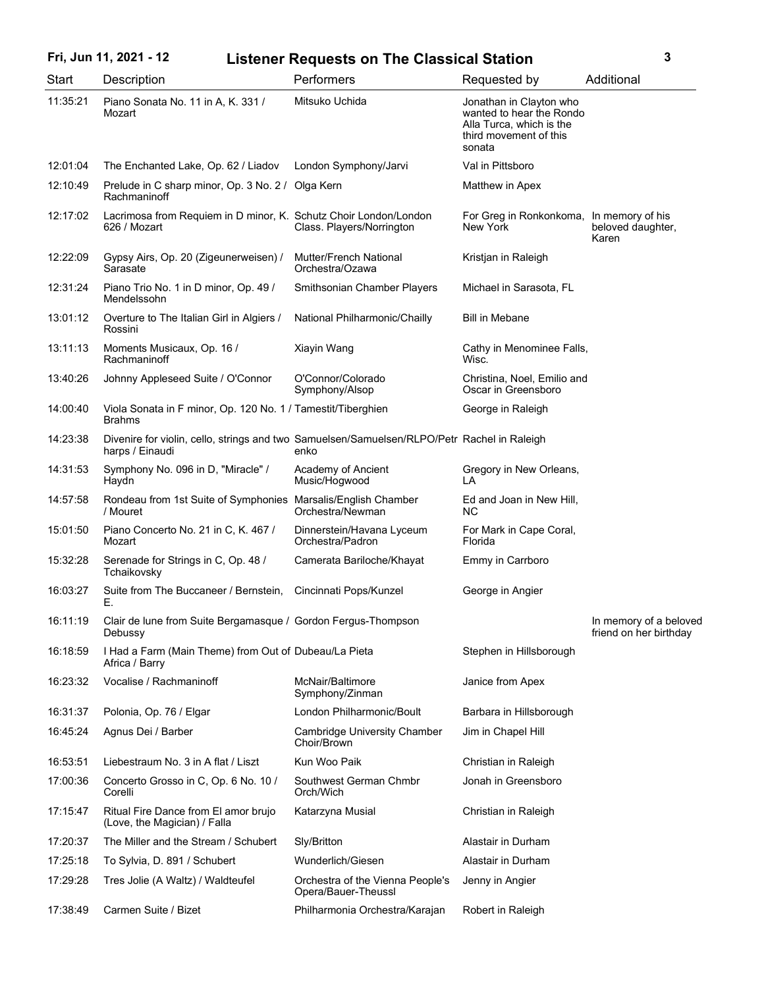# **Fri, Jun 11, 2021 - 12 3 Listener Requests on The Classical Station**

| Start    | Description                                                                                                    | Performers                                              | Requested by                                                                                                        | Additional                                       |
|----------|----------------------------------------------------------------------------------------------------------------|---------------------------------------------------------|---------------------------------------------------------------------------------------------------------------------|--------------------------------------------------|
| 11:35:21 | Piano Sonata No. 11 in A, K. 331 /<br>Mozart                                                                   | Mitsuko Uchida                                          | Jonathan in Clayton who<br>wanted to hear the Rondo<br>Alla Turca, which is the<br>third movement of this<br>sonata |                                                  |
| 12:01:04 | The Enchanted Lake, Op. 62 / Liadov                                                                            | London Symphony/Jarvi                                   | Val in Pittsboro                                                                                                    |                                                  |
| 12:10:49 | Prelude in C sharp minor, Op. 3 No. 2 / Olga Kern<br>Rachmaninoff                                              |                                                         | Matthew in Apex                                                                                                     |                                                  |
| 12:17:02 | Lacrimosa from Requiem in D minor, K. Schutz Choir London/London<br>626 / Mozart                               | Class. Players/Norrington                               | For Greg in Ronkonkoma, In memory of his<br>New York                                                                | beloved daughter,<br>Karen                       |
| 12:22:09 | Gypsy Airs, Op. 20 (Zigeunerweisen) /<br>Sarasate                                                              | Mutter/French National<br>Orchestra/Ozawa               | Kristjan in Raleigh                                                                                                 |                                                  |
| 12:31:24 | Piano Trio No. 1 in D minor, Op. 49 /<br>Mendelssohn                                                           | Smithsonian Chamber Players                             | Michael in Sarasota, FL                                                                                             |                                                  |
| 13:01:12 | Overture to The Italian Girl in Algiers /<br>Rossini                                                           | National Philharmonic/Chailly                           | <b>Bill in Mebane</b>                                                                                               |                                                  |
| 13:11:13 | Moments Musicaux, Op. 16 /<br>Rachmaninoff                                                                     | Xiayin Wang                                             | Cathy in Menominee Falls,<br>Wisc.                                                                                  |                                                  |
| 13:40:26 | Johnny Appleseed Suite / O'Connor                                                                              | O'Connor/Colorado<br>Symphony/Alsop                     | Christina, Noel, Emilio and<br>Oscar in Greensboro                                                                  |                                                  |
| 14:00:40 | Viola Sonata in F minor, Op. 120 No. 1 / Tamestit/Tiberghien<br><b>Brahms</b>                                  |                                                         | George in Raleigh                                                                                                   |                                                  |
| 14:23:38 | Divenire for violin, cello, strings and two Samuelsen/Samuelsen/RLPO/Petr Rachel in Raleigh<br>harps / Einaudi | enko                                                    |                                                                                                                     |                                                  |
| 14:31:53 | Symphony No. 096 in D, "Miracle" /<br>Haydn                                                                    | Academy of Ancient<br>Music/Hogwood                     | Gregory in New Orleans,<br>LA                                                                                       |                                                  |
| 14:57:58 | Rondeau from 1st Suite of Symphonies Marsalis/English Chamber<br>/ Mouret                                      | Orchestra/Newman                                        | Ed and Joan in New Hill,<br>NC.                                                                                     |                                                  |
| 15:01:50 | Piano Concerto No. 21 in C, K. 467 /<br>Mozart                                                                 | Dinnerstein/Havana Lyceum<br>Orchestra/Padron           | For Mark in Cape Coral,<br>Florida                                                                                  |                                                  |
| 15:32:28 | Serenade for Strings in C, Op. 48 /<br>Tchaikovsky                                                             | Camerata Bariloche/Khayat                               | Emmy in Carrboro                                                                                                    |                                                  |
| 16:03:27 | Suite from The Buccaneer / Bernstein,<br>Е.                                                                    | Cincinnati Pops/Kunzel                                  | George in Angier                                                                                                    |                                                  |
| 16:11:19 | Clair de lune from Suite Bergamasque / Gordon Fergus-Thompson<br>Debussy                                       |                                                         |                                                                                                                     | In memory of a beloved<br>friend on her birthday |
| 16:18:59 | I Had a Farm (Main Theme) from Out of Dubeau/La Pieta<br>Africa / Barry                                        |                                                         | Stephen in Hillsborough                                                                                             |                                                  |
| 16:23:32 | Vocalise / Rachmaninoff                                                                                        | McNair/Baltimore<br>Symphony/Zinman                     | Janice from Apex                                                                                                    |                                                  |
| 16:31:37 | Polonia, Op. 76 / Elgar                                                                                        | London Philharmonic/Boult                               | Barbara in Hillsborough                                                                                             |                                                  |
| 16:45:24 | Agnus Dei / Barber                                                                                             | Cambridge University Chamber<br>Choir/Brown             | Jim in Chapel Hill                                                                                                  |                                                  |
| 16:53:51 | Liebestraum No. 3 in A flat / Liszt                                                                            | Kun Woo Paik                                            | Christian in Raleigh                                                                                                |                                                  |
| 17:00:36 | Concerto Grosso in C, Op. 6 No. 10 /<br>Corelli                                                                | Southwest German Chmbr<br>Orch/Wich                     | Jonah in Greensboro                                                                                                 |                                                  |
| 17:15:47 | Ritual Fire Dance from El amor brujo<br>(Love, the Magician) / Falla                                           | Katarzyna Musial                                        | Christian in Raleigh                                                                                                |                                                  |
| 17:20:37 | The Miller and the Stream / Schubert                                                                           | Sly/Britton                                             | Alastair in Durham                                                                                                  |                                                  |
| 17:25:18 | To Sylvia, D. 891 / Schubert                                                                                   | Wunderlich/Giesen                                       | Alastair in Durham                                                                                                  |                                                  |
| 17:29:28 | Tres Jolie (A Waltz) / Waldteufel                                                                              | Orchestra of the Vienna People's<br>Opera/Bauer-Theussl | Jenny in Angier                                                                                                     |                                                  |
| 17:38:49 | Carmen Suite / Bizet                                                                                           | Philharmonia Orchestra/Karajan                          | Robert in Raleigh                                                                                                   |                                                  |